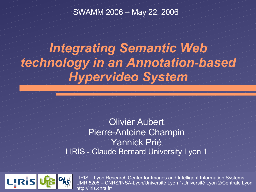SWAMM 2006 – May 22, 2006

#### *Integrating Semantic Web technology in an Annotation-based Hypervideo System*

#### Olivier Aubert Pierre-Antoine Champin Yannick Prié LIRIS - Claude Bernard University Lyon



*Integrating SW technologies in Advene – SWAMM 2006* 1 LIRIS – Lyon Research Center for Images and Intelligent Information Systems UMR 5205 – CNRS/INSA-Lyon/Université Lyon 1/Université Lyon 2/Centrale Lyon http://liris.cnrs.fr/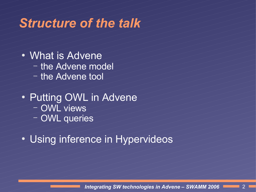# *Structure of the talk*

- **What is Advene** 
	- the Advene model
	- the Advene tool
- **Putting OWL in Advene** 
	- OWL views
	- **OWL** queries
- Using inference in Hypervideos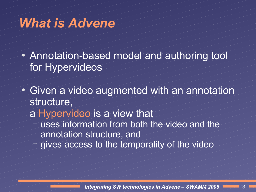#### *What is Advene*

- Annotation-based model and authoring tool for Hypervideos
- Given a video augmented with an annotation structure,

#### a Hypervideo is a view that

- uses information from both the video and the annotation structure, and
- gives access to the temporality of the video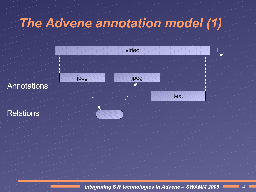## *The Advene annotation model (1)*

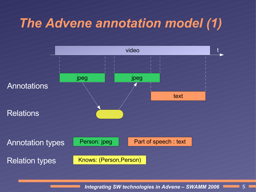# *The Advene annotation model (1)*

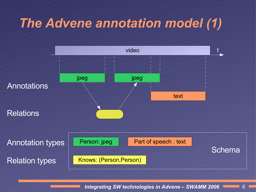# *The Advene annotation model (1)*

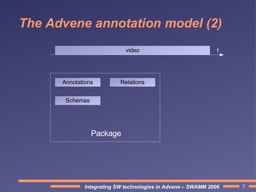## *The Advene annotation model (2)*

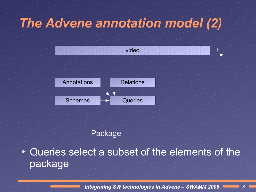## *The Advene annotation model (2)*



Queries select a subset of the elements of the package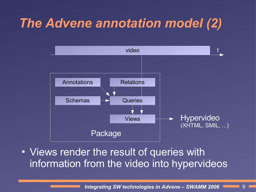## *The Advene annotation model (2)*



#### Views render the result of queries with information from the video into hypervideos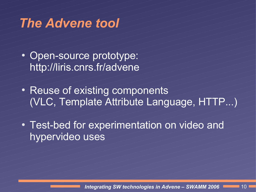#### *The Advene tool*

- Open-source prototype: http://liris.cnrs.fr/advene
- **Reuse of existing components** (VLC, Template Attribute Language, HTTP...)
- Test-bed for experimentation on video and hypervideo uses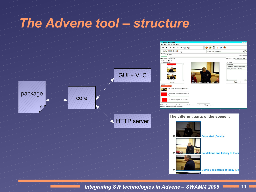#### *The Advene tool – structure*

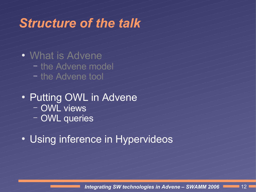# *Structure of the talk*

- What is Advene
	- the Advene model
	- the Advene tool
- **Putting OWL in Advene** 
	- OWL views
	- **OWL** queries
- Using inference in Hypervideos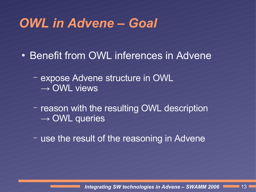#### *OWL in Advene – Goal*

- **Benefit from OWL inferences in Advene** 
	- expose Advene structure in OWL  $\rightarrow$  OWL views
	- reason with the resulting OWL description  $\rightarrow$  OWL queries
	- use the result of the reasoning in Advene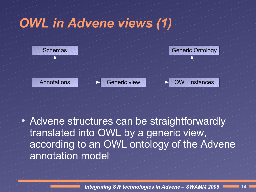

Advene structures can be straightforwardly translated into OWL by a generic view, according to an OWL ontology of the Advene annotation model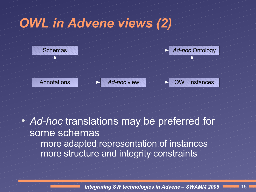

- Ad-hoc translations may be preferred for some schemas
	- more adapted representation of instances
	- more structure and integrity constraints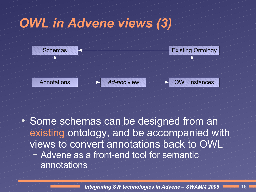

Some schemas can be designed from an existing ontology, and be accompanied with views to convert annotations back to OWL – Advene as a front-end tool for semantic annotations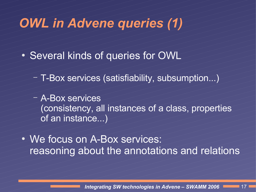# *OWL in Advene queries (1)*

- Several kinds of queries for OWL
	- T-Box services (satisfiability, subsumption...)
	- A-Box services (consistency, all instances of a class, properties of an instance...)
- We focus on A-Box services: reasoning about the annotations and relations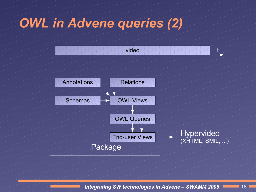## *OWL in Advene queries (2)*

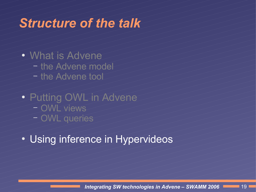#### *Structure of the talk*

- What is Advene
	- the Advene model
	- the Advene tool
- Putting OWL in Advene
	- OWL views
	- OWL queries
- Using inference in Hypervideos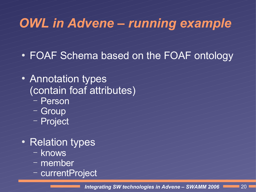## *OWL in Advene – running example*

- FOAF Schema based on the FOAF ontology
- Annotation types (contain foaf attributes)
	- Person
	- **Group**
	- **Project**
- **Relation types** 
	- knows
	- member
	- currentProject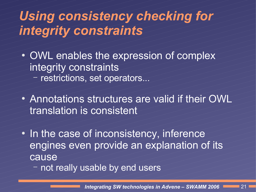#### *Using consistency checking for integrity constraints*

- OWL enables the expression of complex integrity constraints
	- restrictions, set operators.
- Annotations structures are valid if their OWL translation is consistent
- In the case of inconsistency, inference engines even provide an explanation of its cause
	- not really usable by end users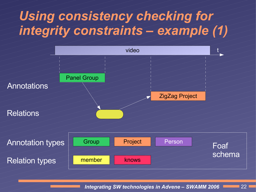### *Using consistency checking for integrity constraints – example (1)*



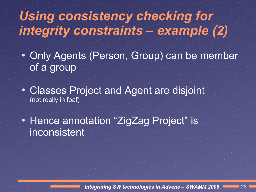### *Using consistency checking for integrity constraints – example (2)*

- Only Agents (Person, Group) can be member of a group
- Classes Project and Agent are disjoint (not really in foaf)

• Hence annotation "ZigZag Project" is inconsistent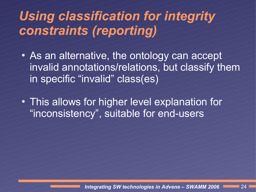## *Using classification for integrity constraints (reporting)*

- As an alternative, the ontology can accept invalid annotations/relations, but classify them in specific "invalid" class(es)
- This allows for higher level explanation for "inconsistency", suitable for end-users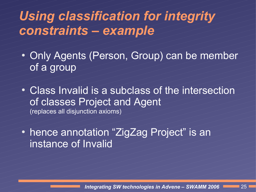#### *Using classification for integrity constraints – example*

- Only Agents (Person, Group) can be member of a group
- Class Invalid is a subclass of the intersection of classes Project and Agent (replaces all disjunction axioms)
- hence annotation "ZigZag Project" is an instance of Invalid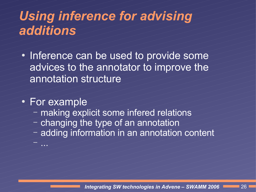## *Using inference for advising additions*

Inference can be used to provide some advices to the annotator to improve the annotation structure

#### **For example**

– ...

- making explicit some infered relations
- changing the type of an annotation
- adding information in an annotation content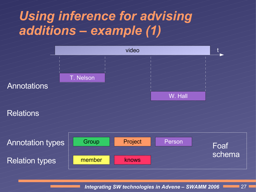#### *Using inference for advising additions – example (1)*



#### **Relations**

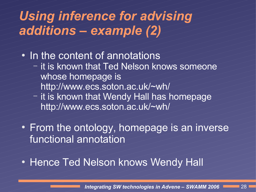#### *Using inference for advising additions – example (2)*

In the content of annotations

- it is known that Ted Nelson knows someone whose homepage is
	- http://www.ecs.soton.ac.uk/~wh/
	- it is known that Wendy Hall has homepage http://www.ecs.soton.ac.uk/~wh/

From the ontology, homepage is an inverse functional annotation

#### **Hence Ted Nelson knows Wendy Hall**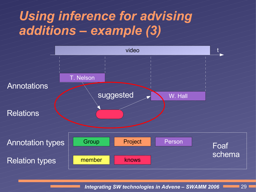### *Using inference for advising additions – example (3)*

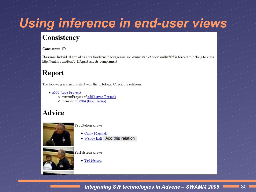## *Using inference in end-user views*

#### **Consistency**

#### Consistent: No.

Reason: Individual http://liris.cnrs.fr/advene/packages/nelson-sw/unstable/index.xml#a505 is forced to belong to class http://xmlns.com/foaf/0.1/Agent and its complement

#### Report

The following are inconsistent with the ontology. Check the relations.

- a505 (type Project)
	- o currentProject of a502 (type Person)
	- o member of a504 (type Group)

#### **Advice**



Ted Nelson knows

- Cathy Marshall
- . Wendy Hall Add this relation



Paul de Bra knows

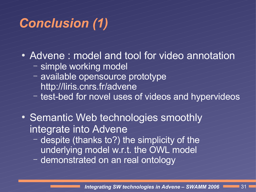#### *Conclusion (1)*

- Advene : model and tool for video annotation
	- simple working model
	- available opensource prototype http://liris.cnrs.fr/advene
	-
	- test-bed for novel uses of videos and hypervideos
- Semantic Web technologies smoothly integrate into Advene
	- despite (thanks to?) the simplicity of the underlying model w.r.t. the OWL model demonstrated on an real ontology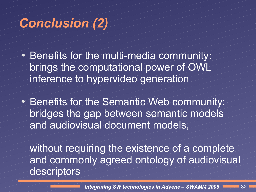#### *Conclusion (2)*

- Benefits for the multi-media community: brings the computational power of OWL inference to hypervideo generation
- **Benefits for the Semantic Web community:** bridges the gap between semantic models and audiovisual document models,

without requiring the existence of a complete and commonly agreed ontology of audiovisual descriptors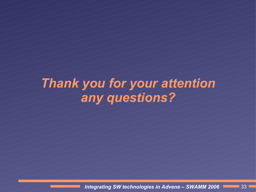# *Thank you for your attention any questions?*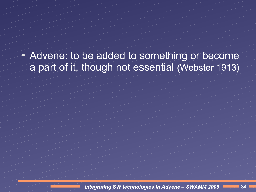• Advene: to be added to something or become a part of it, though not essential (Webster 1913)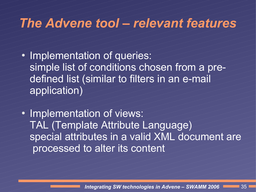#### *The Advene tool – relevant features*

- Implementation of queries: simple list of conditions chosen from a predefined list (similar to filters in an e-mail application)
- Implementation of views: TAL (Template Attribute Language) special attributes in a valid XML document are processed to alter its content